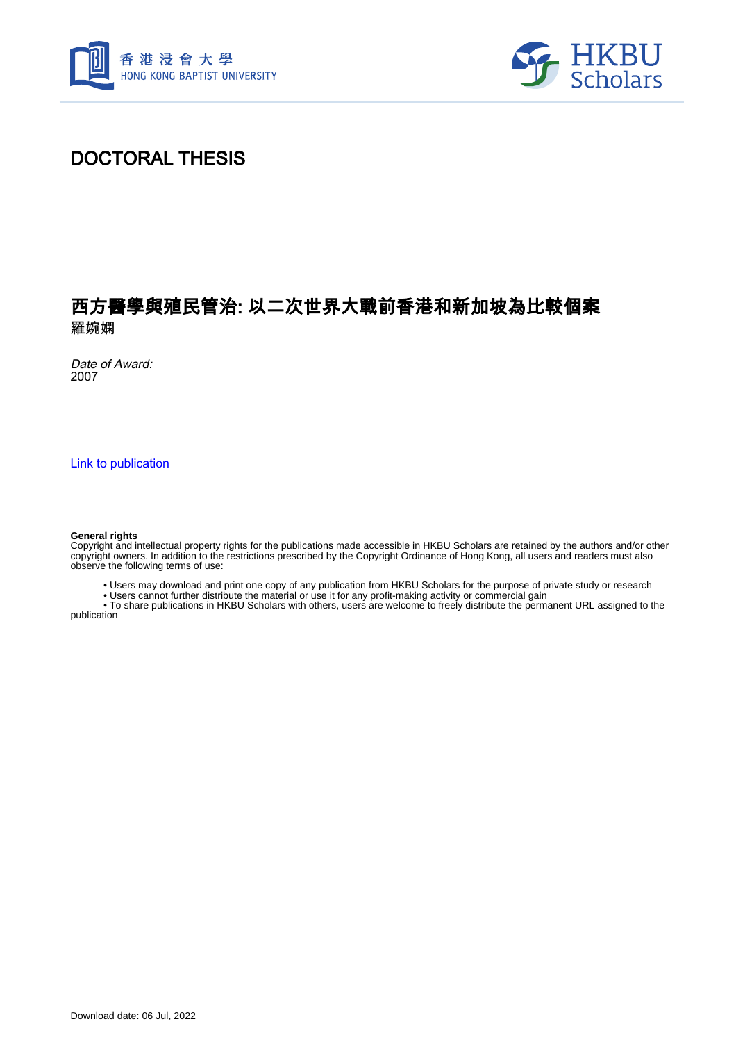



# DOCTORAL THESIS

## 西方醫學與殖民管治: 以二次世界大戰前香港和新加坡為比較個案 羅婉嫻

Date of Award: 2007

[Link to publication](https://scholars.hkbu.edu.hk/en/studentTheses/39514502-cbbc-48ad-b420-cf30517907f5)

#### **General rights**

Copyright and intellectual property rights for the publications made accessible in HKBU Scholars are retained by the authors and/or other copyright owners. In addition to the restrictions prescribed by the Copyright Ordinance of Hong Kong, all users and readers must also observe the following terms of use:

• Users may download and print one copy of any publication from HKBU Scholars for the purpose of private study or research

• Users cannot further distribute the material or use it for any profit-making activity or commercial gain

 • To share publications in HKBU Scholars with others, users are welcome to freely distribute the permanent URL assigned to the publication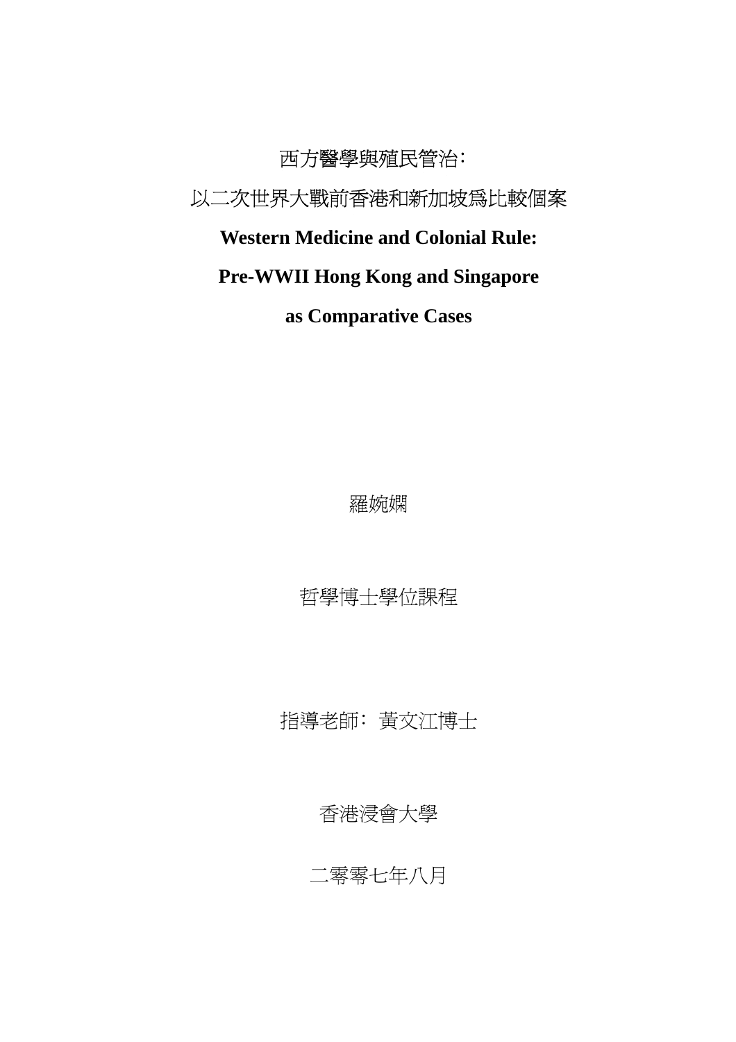西方醫學與殖民管治﹕ 以二次世界大戰前香港和新加坡為比較個案 **Western Medicine and Colonial Rule: Pre-WWII Hong Kong and Singapore** 

**as Comparative Cases** 

羅婉嫻

哲學博士學位課程

指導老師﹕黃文江博士

香港浸會大學

二零零七年八月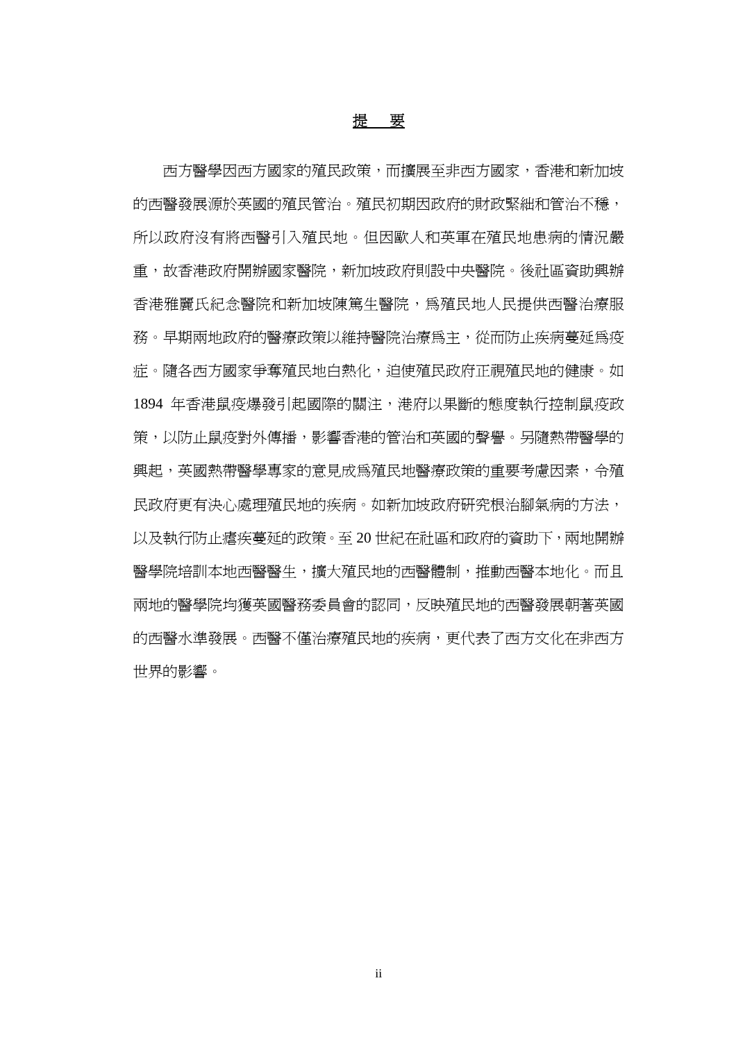## 提要

西方醫學因西方國家的殖民政策,而擴展至非西方國家,香港和新加坡 的西醫發展源於英國的殖民管治。殖民初期因政府的財政緊絀和管治不穩, 所以政府沒有將西醫引入殖民地。但因歐人和英軍在殖民地患病的情況嚴 重,故香港政府開辦國家醫院,新加坡政府則設中央醫院。後社區資助興辦 香港雅麗氏紀念醫院和新加坡陳篤生醫院,為殖民地人民提供西醫治療服 務。早期兩地政府的醫療政策以維持醫院治療為主,從而防止疾病蔓延為疫 症。隨各西方國家爭奪殖民地白熱化,迫使殖民政府正視殖民地的健康。如 1894 年香港鼠疫爆發引起國際的關注,港府以果斷的態度執行控制鼠疫政 策,以防止鼠疫對外傳播,影響香港的管治和英國的聲譽。另隨熱帶醫學的 興起,英國熱帶醫學專家的意見成為殖民地醫療政策的重要考慮因素,令殖 民政府更有決心處理殖民地的疾病。如新加坡政府研究根治腳氣病的方法, 以及執行防止瘧疾蔓延的政策。至 20 世紀在社區和政府的資助下,兩地開辦 醫學院培訓本地西醫醫生,擴大殖民地的西醫體制,推動西醫本地化。而且 兩地的醫學院均獲英國醫務委員會的認同,反映殖民地的西醫發展朝著英國 的西醫水準發展。西醫不僅治療殖民地的疾病,更代表了西方文化在非西方 世界的影響。

ii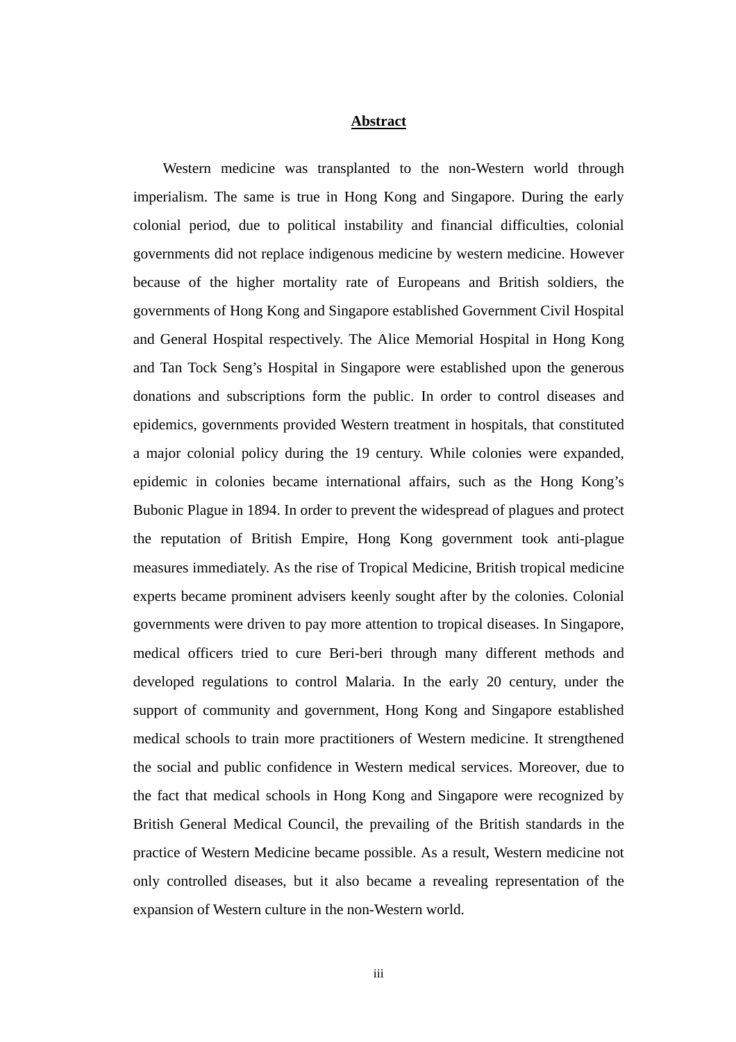### **Abstract**

Western medicine was transplanted to the non-Western world through imperialism. The same is true in Hong Kong and Singapore. During the early colonial period, due to political instability and financial difficulties, colonial governments did not replace indigenous medicine by western medicine. However because of the higher mortality rate of Europeans and British soldiers, the governments of Hong Kong and Singapore established Government Civil Hospital and General Hospital respectively. The Alice Memorial Hospital in Hong Kong and Tan Tock Seng's Hospital in Singapore were established upon the generous donations and subscriptions form the public. In order to control diseases and epidemics, governments provided Western treatment in hospitals, that constituted a major colonial policy during the 19 century. While colonies were expanded, epidemic in colonies became international affairs, such as the Hong Kong's Bubonic Plague in 1894. In order to prevent the widespread of plagues and protect the reputation of British Empire, Hong Kong government took anti-plague measures immediately. As the rise of Tropical Medicine, British tropical medicine experts became prominent advisers keenly sought after by the colonies. Colonial governments were driven to pay more attention to tropical diseases. In Singapore, medical officers tried to cure Beri-beri through many different methods and developed regulations to control Malaria. In the early 20 century, under the support of community and government, Hong Kong and Singapore established medical schools to train more practitioners of Western medicine. It strengthened the social and public confidence in Western medical services. Moreover, due to the fact that medical schools in Hong Kong and Singapore were recognized by British General Medical Council, the prevailing of the British standards in the practice of Western Medicine became possible. As a result, Western medicine not only controlled diseases, but it also became a revealing representation of the expansion of Western culture in the non-Western world.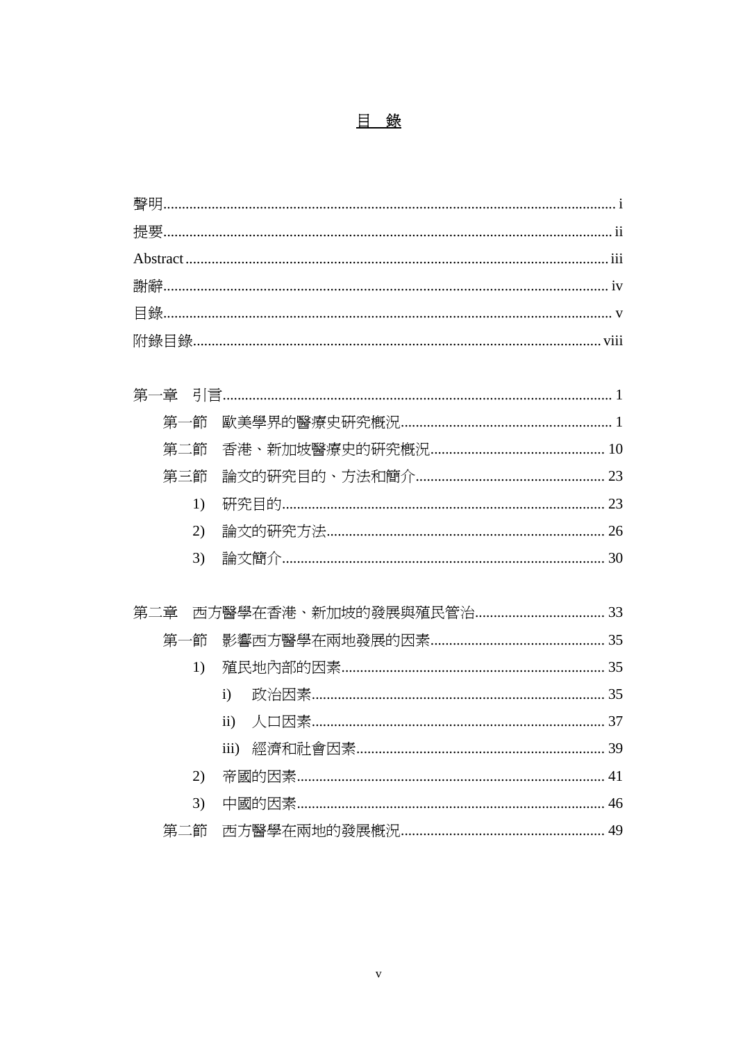| 第一節      |               |  |
|----------|---------------|--|
| 第二節      |               |  |
| 第三節      |               |  |
| 1)       |               |  |
| 2)       |               |  |
| 3)       |               |  |
| 第二章      |               |  |
| -節<br>第一 |               |  |
| 1)       |               |  |
|          | $\mathbf{i}$  |  |
|          | $\mathbf{ii}$ |  |
|          | iii)          |  |
|          |               |  |
| 2)       |               |  |
| 3)       |               |  |
| 第二節      |               |  |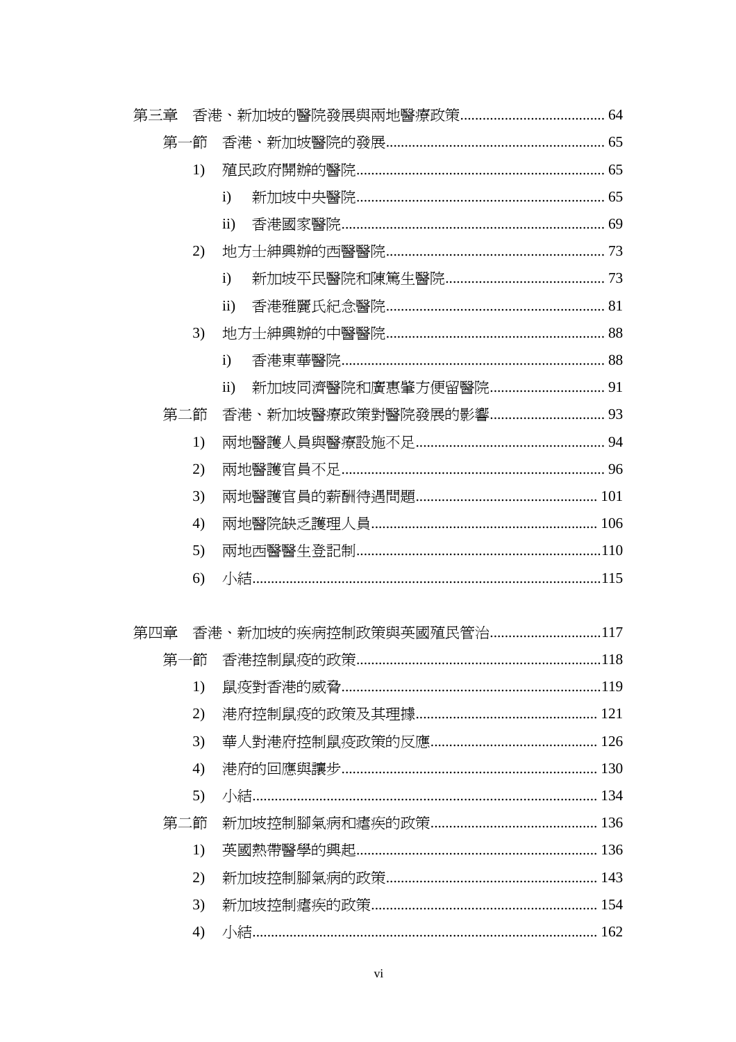| 第三章 |     |    |                       |  |
|-----|-----|----|-----------------------|--|
|     | 第   | ∸節 |                       |  |
|     |     | 1) |                       |  |
|     |     |    | $\mathbf{i}$          |  |
|     |     |    | $\mathbf{ii}$         |  |
|     |     | 2) |                       |  |
|     |     |    | $\mathbf{i}$          |  |
|     |     |    | $\mathbf{ii}$         |  |
|     |     | 3) |                       |  |
|     |     |    | $\mathbf{i}$          |  |
|     |     |    | $\mathbf{ii}$         |  |
|     | 第二節 |    | 香港、新加坡醫療政策對醫院發展的影響 93 |  |
|     |     | 1) |                       |  |
|     |     | 2) |                       |  |
|     |     | 3) |                       |  |
|     |     | 4) |                       |  |
|     |     | 5) |                       |  |
|     |     | 6) |                       |  |
| 第四章 |     |    |                       |  |
|     |     |    |                       |  |
|     |     | 1) |                       |  |
|     |     | 2) |                       |  |
|     |     | 3) |                       |  |
|     |     | 4) |                       |  |
|     |     | 5) |                       |  |
|     | 第二節 |    |                       |  |
|     |     | 1) |                       |  |
|     |     | 2) |                       |  |
|     |     | 3) |                       |  |
|     |     | 4) |                       |  |